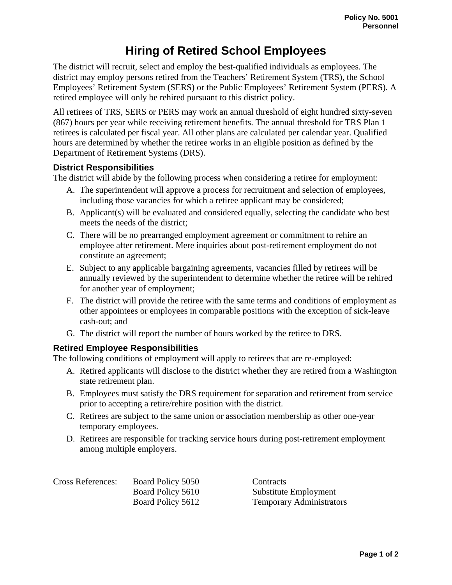## **Hiring of Retired School Employees**

The district will recruit, select and employ the best-qualified individuals as employees. The district may employ persons retired from the Teachers' Retirement System (TRS), the School Employees' Retirement System (SERS) or the Public Employees' Retirement System (PERS). A retired employee will only be rehired pursuant to this district policy.

All retirees of TRS, SERS or PERS may work an annual threshold of eight hundred sixty-seven (867) hours per year while receiving retirement benefits. The annual threshold for TRS Plan 1 retirees is calculated per fiscal year. All other plans are calculated per calendar year. Qualified hours are determined by whether the retiree works in an eligible position as defined by the Department of Retirement Systems (DRS).

## **District Responsibilities**

The district will abide by the following process when considering a retiree for employment:

- A. The superintendent will approve a process for recruitment and selection of employees, including those vacancies for which a retiree applicant may be considered;
- B. Applicant(s) will be evaluated and considered equally, selecting the candidate who best meets the needs of the district;
- C. There will be no prearranged employment agreement or commitment to rehire an employee after retirement. Mere inquiries about post-retirement employment do not constitute an agreement;
- E. Subject to any applicable bargaining agreements, vacancies filled by retirees will be annually reviewed by the superintendent to determine whether the retiree will be rehired for another year of employment;
- F. The district will provide the retiree with the same terms and conditions of employment as other appointees or employees in comparable positions with the exception of sick-leave cash-out; and
- G. The district will report the number of hours worked by the retiree to DRS.

## **Retired Employee Responsibilities**

The following conditions of employment will apply to retirees that are re-employed:

- A. Retired applicants will disclose to the district whether they are retired from a Washington state retirement plan.
- B. Employees must satisfy the DRS requirement for separation and retirement from service prior to accepting a retire/rehire position with the district.
- C. Retirees are subject to the same union or association membership as other one-year temporary employees.
- D. Retirees are responsible for tracking service hours during post-retirement employment among multiple employers.

| <b>Cross References:</b> | Board Policy 5050 | Contracts                       |
|--------------------------|-------------------|---------------------------------|
|                          | Board Policy 5610 | Substitute Employment           |
|                          | Board Policy 5612 | <b>Temporary Administrators</b> |